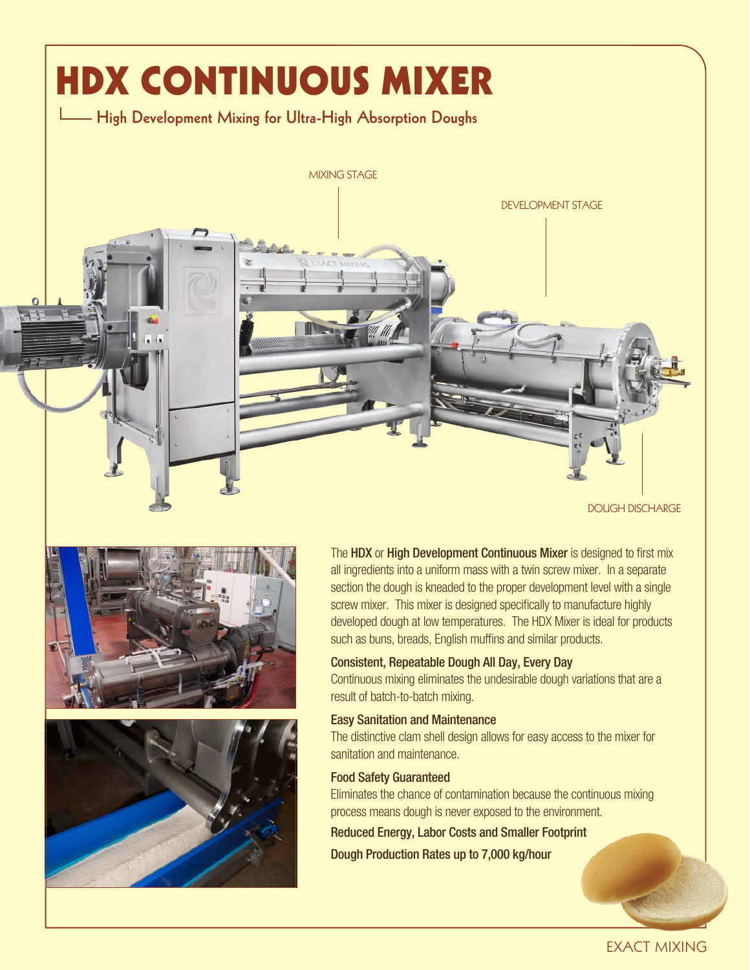

DOUGH DISCHARGE





The HDX or High Development Continuous Mixer is designed to first mix all ingredients into a uniform mass with a twin screw mixer. In a separate section the dough is kneaded to the proper development level with a single screw mixer. This mixer is designed specifically to manufacture highly developed dough at low temperatures. The HDX Mixer is ideal for products such as buns, breads, English muffins and similar products.

#### Consistent, Repeatable Dough All Day, Every Day

Continuous mixing eliminates the undesirable dough variations that are a result of batch-to-batch mixing.

#### Easy Sanitation and Maintenance

The distinctive clam shell design allows for easy access to the mixer for sanitation and maintenance.

#### Food Safety Guaranteed

Eliminates the chance of contamination because the continuous mixing process means dough is never exposed to the environment.

Reduced Energy, Labor Costs and Smaller Footprint

Dough Production Rates up to 7,000 kg/hour